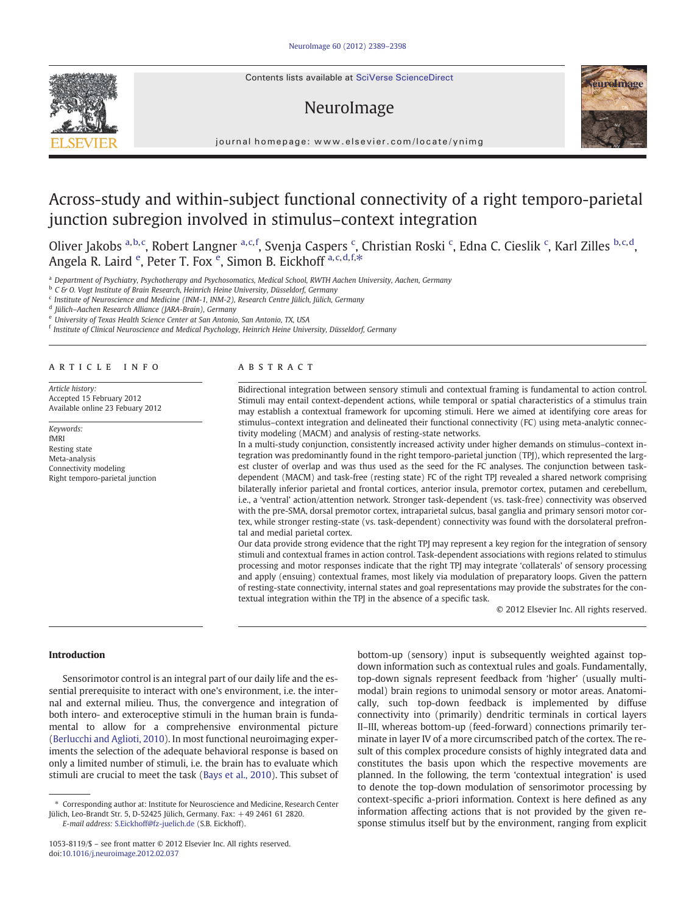Contents lists available at SciVerse ScienceDirect

# NeuroImage



journal homepage: www.elsevier.com/locate/ynimg

# Across-study and within-subject functional connectivity of a right temporo-parietal junction subregion involved in stimulus–context integration

Oliver Jakobs a,b,c, Robert Langner a,c,f, Svenja Caspers <sup>c</sup>, Christian Roski <sup>c</sup>, Edna C. Cieslik <sup>c</sup>, Karl Zilles <sup>b,c,d</sup>, Angela R. Laird <sup>e</sup>, Peter T. Fox <sup>e</sup>, Simon B. Eickhoff <sup>a, c, d, f, $\ast$ </sup>

a Department of Psychiatry, Psychotherapy and Psychosomatics, Medical School, RWTH Aachen University, Aachen, Germany

b C & O. Vogt Institute of Brain Research, Heinrich Heine University, Düsseldorf, Germany

<sup>c</sup> Institute of Neuroscience and Medicine (INM-1, INM-2), Research Centre Jülich, Jülich, Germany

<sup>d</sup> Jülich–Aachen Research Alliance (JARA-Brain), Germany

<sup>e</sup> University of Texas Health Science Center at San Antonio, San Antonio, TX, USA

<sup>f</sup> Institute of Clinical Neuroscience and Medical Psychology, Heinrich Heine University, Düsseldorf, Germany

#### article info abstract

Article history: Accepted 15 February 2012 Available online 23 Febuary 2012

Keywords: fMRI Resting state Meta-analysis Connectivity modeling Right temporo-parietal junction

Bidirectional integration between sensory stimuli and contextual framing is fundamental to action control. Stimuli may entail context-dependent actions, while temporal or spatial characteristics of a stimulus train may establish a contextual framework for upcoming stimuli. Here we aimed at identifying core areas for stimulus–context integration and delineated their functional connectivity (FC) using meta-analytic connectivity modeling (MACM) and analysis of resting-state networks.

In a multi-study conjunction, consistently increased activity under higher demands on stimulus–context integration was predominantly found in the right temporo-parietal junction (TPJ), which represented the largest cluster of overlap and was thus used as the seed for the FC analyses. The conjunction between taskdependent (MACM) and task-free (resting state) FC of the right TPJ revealed a shared network comprising bilaterally inferior parietal and frontal cortices, anterior insula, premotor cortex, putamen and cerebellum, i.e., a 'ventral' action/attention network. Stronger task-dependent (vs. task-free) connectivity was observed with the pre-SMA, dorsal premotor cortex, intraparietal sulcus, basal ganglia and primary sensori motor cortex, while stronger resting-state (vs. task-dependent) connectivity was found with the dorsolateral prefrontal and medial parietal cortex.

Our data provide strong evidence that the right TPJ may represent a key region for the integration of sensory stimuli and contextual frames in action control. Task-dependent associations with regions related to stimulus processing and motor responses indicate that the right TPJ may integrate 'collaterals' of sensory processing and apply (ensuing) contextual frames, most likely via modulation of preparatory loops. Given the pattern of resting-state connectivity, internal states and goal representations may provide the substrates for the contextual integration within the TPJ in the absence of a specific task.

© 2012 Elsevier Inc. All rights reserved.

# Introduction

Sensorimotor control is an integral part of our daily life and the essential prerequisite to interact with one's environment, i.e. the internal and external milieu. Thus, the convergence and integration of both intero- and exteroceptive stimuli in the human brain is fundamental to allow for a comprehensive environmental picture [\(Berlucchi and Aglioti, 2010\)](#page-8-0). In most functional neuroimaging experiments the selection of the adequate behavioral response is based on only a limited number of stimuli, i.e. the brain has to evaluate which stimuli are crucial to meet the task [\(Bays et al., 2010\)](#page-8-0). This subset of

E-mail address: [S.Eickhoff@fz-juelich.de](mailto:S.Eickhoff@fz-juelich.de) (S.B. Eickhoff).

bottom-up (sensory) input is subsequently weighted against topdown information such as contextual rules and goals. Fundamentally, top-down signals represent feedback from 'higher' (usually multimodal) brain regions to unimodal sensory or motor areas. Anatomically, such top-down feedback is implemented by diffuse connectivity into (primarily) dendritic terminals in cortical layers II–III, whereas bottom-up (feed-forward) connections primarily terminate in layer IV of a more circumscribed patch of the cortex. The result of this complex procedure consists of highly integrated data and constitutes the basis upon which the respective movements are planned. In the following, the term 'contextual integration' is used to denote the top-down modulation of sensorimotor processing by context-specific a-priori information. Context is here defined as any information affecting actions that is not provided by the given response stimulus itself but by the environment, ranging from explicit



<sup>⁎</sup> Corresponding author at: Institute for Neuroscience and Medicine, Research Center Jülich, Leo-Brandt Str. 5, D-52425 Jülich, Germany. Fax: +49 2461 61 2820.

<sup>1053-8119/\$</sup> – see front matter © 2012 Elsevier Inc. All rights reserved. doi:[10.1016/j.neuroimage.2012.02.037](http://dx.doi.org/10.1016/j.neuroimage.2012.02.037)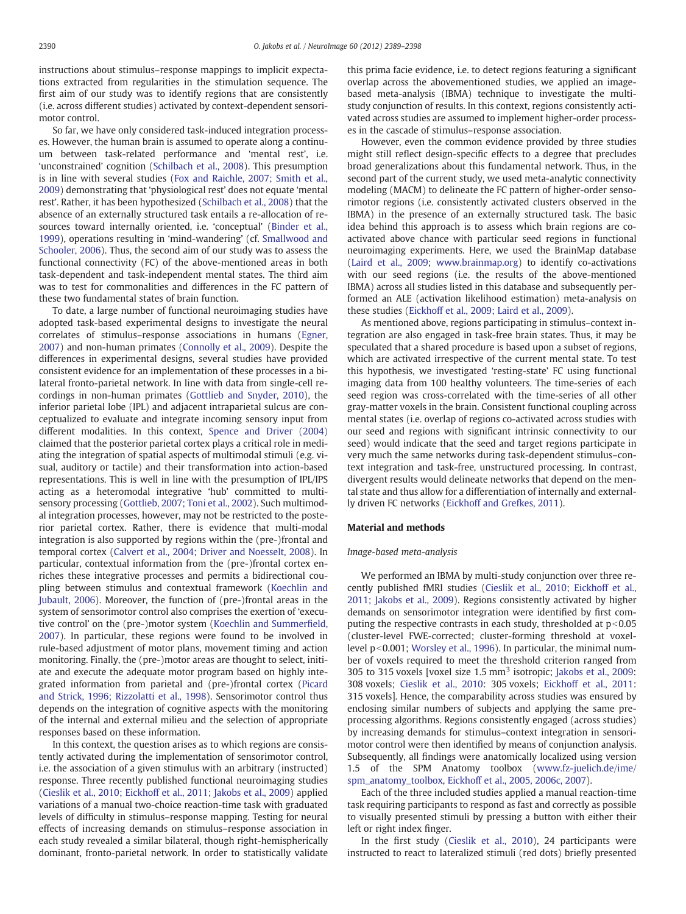instructions about stimulus–response mappings to implicit expectations extracted from regularities in the stimulation sequence. The first aim of our study was to identify regions that are consistently (i.e. across different studies) activated by context-dependent sensorimotor control.

So far, we have only considered task-induced integration processes. However, the human brain is assumed to operate along a continuum between task-related performance and 'mental rest', i.e. 'unconstrained' cognition [\(Schilbach et al., 2008\)](#page-9-0). This presumption is in line with several studies [\(Fox and Raichle, 2007; Smith et al.,](#page-8-0) [2009\)](#page-8-0) demonstrating that 'physiological rest' does not equate 'mental rest'. Rather, it has been hypothesized ([Schilbach et al., 2008](#page-9-0)) that the absence of an externally structured task entails a re-allocation of resources toward internally oriented, i.e. 'conceptual' ([Binder et al.,](#page-8-0) [1999\)](#page-8-0), operations resulting in 'mind-wandering' (cf. [Smallwood and](#page-9-0) [Schooler, 2006](#page-9-0)). Thus, the second aim of our study was to assess the functional connectivity (FC) of the above-mentioned areas in both task-dependent and task-independent mental states. The third aim was to test for commonalities and differences in the FC pattern of these two fundamental states of brain function.

To date, a large number of functional neuroimaging studies have adopted task-based experimental designs to investigate the neural correlates of stimulus–response associations in humans [\(Egner,](#page-8-0) [2007\)](#page-8-0) and non-human primates ([Connolly et al., 2009\)](#page-8-0). Despite the differences in experimental designs, several studies have provided consistent evidence for an implementation of these processes in a bilateral fronto-parietal network. In line with data from single-cell recordings in non-human primates [\(Gottlieb and Snyder, 2010](#page-8-0)), the inferior parietal lobe (IPL) and adjacent intraparietal sulcus are conceptualized to evaluate and integrate incoming sensory input from different modalities. In this context, [Spence and Driver \(2004\)](#page-9-0) claimed that the posterior parietal cortex plays a critical role in mediating the integration of spatial aspects of multimodal stimuli (e.g. visual, auditory or tactile) and their transformation into action-based representations. This is well in line with the presumption of IPL/IPS acting as a heteromodal integrative 'hub' committed to multisensory processing [\(Gottlieb, 2007; Toni et al., 2002](#page-8-0)). Such multimodal integration processes, however, may not be restricted to the posterior parietal cortex. Rather, there is evidence that multi-modal integration is also supported by regions within the (pre-)frontal and temporal cortex ([Calvert et al., 2004; Driver and Noesselt, 2008](#page-8-0)). In particular, contextual information from the (pre-)frontal cortex enriches these integrative processes and permits a bidirectional coupling between stimulus and contextual framework [\(Koechlin and](#page-8-0) [Jubault, 2006\)](#page-8-0). Moreover, the function of (pre-)frontal areas in the system of sensorimotor control also comprises the exertion of 'executive control' on the (pre-)motor system ([Koechlin and Summer](#page-8-0)field, [2007\)](#page-8-0). In particular, these regions were found to be involved in rule-based adjustment of motor plans, movement timing and action monitoring. Finally, the (pre-)motor areas are thought to select, initiate and execute the adequate motor program based on highly integrated information from parietal and (pre-)frontal cortex [\(Picard](#page-9-0) [and Strick, 1996; Rizzolatti et al., 1998](#page-9-0)). Sensorimotor control thus depends on the integration of cognitive aspects with the monitoring of the internal and external milieu and the selection of appropriate responses based on these information.

In this context, the question arises as to which regions are consistently activated during the implementation of sensorimotor control, i.e. the association of a given stimulus with an arbitrary (instructed) response. Three recently published functional neuroimaging studies [\(Cieslik et al., 2010; Eickhoff et al., 2011; Jakobs et al., 2009\)](#page-8-0) applied variations of a manual two-choice reaction-time task with graduated levels of difficulty in stimulus–response mapping. Testing for neural effects of increasing demands on stimulus–response association in each study revealed a similar bilateral, though right-hemispherically dominant, fronto-parietal network. In order to statistically validate

this prima facie evidence, i.e. to detect regions featuring a significant overlap across the abovementioned studies, we applied an imagebased meta-analysis (IBMA) technique to investigate the multistudy conjunction of results. In this context, regions consistently activated across studies are assumed to implement higher-order processes in the cascade of stimulus–response association.

However, even the common evidence provided by three studies might still reflect design-specific effects to a degree that precludes broad generalizations about this fundamental network. Thus, in the second part of the current study, we used meta-analytic connectivity modeling (MACM) to delineate the FC pattern of higher-order sensorimotor regions (i.e. consistently activated clusters observed in the IBMA) in the presence of an externally structured task. The basic idea behind this approach is to assess which brain regions are coactivated above chance with particular seed regions in functional neuroimaging experiments. Here, we used the BrainMap database [\(Laird et al., 2009;](#page-8-0) [www.brainmap.org\)](http://www.brainmap.org) to identify co-activations with our seed regions (i.e. the results of the above-mentioned IBMA) across all studies listed in this database and subsequently performed an ALE (activation likelihood estimation) meta-analysis on these studies [\(Eickhoff et al., 2009; Laird et al., 2009\)](#page-8-0).

As mentioned above, regions participating in stimulus–context integration are also engaged in task-free brain states. Thus, it may be speculated that a shared procedure is based upon a subset of regions, which are activated irrespective of the current mental state. To test this hypothesis, we investigated 'resting-state' FC using functional imaging data from 100 healthy volunteers. The time-series of each seed region was cross-correlated with the time-series of all other gray-matter voxels in the brain. Consistent functional coupling across mental states (i.e. overlap of regions co-activated across studies with our seed and regions with significant intrinsic connectivity to our seed) would indicate that the seed and target regions participate in very much the same networks during task-dependent stimulus–context integration and task-free, unstructured processing. In contrast, divergent results would delineate networks that depend on the mental state and thus allow for a differentiation of internally and externally driven FC networks ([Eickhoff and Grefkes, 2011](#page-8-0)).

#### Material and methods

#### Image-based meta-analysis

We performed an IBMA by multi-study conjunction over three recently published fMRI studies ([Cieslik et al., 2010; Eickhoff et al.,](#page-8-0) [2011; Jakobs et al., 2009\)](#page-8-0). Regions consistently activated by higher demands on sensorimotor integration were identified by first computing the respective contrasts in each study, thresholded at  $p<0.05$ (cluster-level FWE-corrected; cluster-forming threshold at voxellevel  $p<0.001$ ; [Worsley et al., 1996\)](#page-9-0). In particular, the minimal number of voxels required to meet the threshold criterion ranged from 305 to 315 voxels [voxel size  $1.5 \text{ mm}^3$  isotropic; [Jakobs et al., 2009](#page-8-0): 308 voxels; [Cieslik et al., 2010:](#page-8-0) 305 voxels; [Eickhoff et al., 2011](#page-8-0): 315 voxels]. Hence, the comparability across studies was ensured by enclosing similar numbers of subjects and applying the same preprocessing algorithms. Regions consistently engaged (across studies) by increasing demands for stimulus–context integration in sensorimotor control were then identified by means of conjunction analysis. Subsequently, all findings were anatomically localized using version 1.5 of the SPM Anatomy toolbox [\(www.fz-juelich.de/ime/](http://www.fz-juelich.de/ime/spm_anatomy_toolbox) [spm\\_anatomy\\_toolbox,](http://www.fz-juelich.de/ime/spm_anatomy_toolbox) [Eickhoff et al., 2005, 2006c, 2007](#page-8-0)).

Each of the three included studies applied a manual reaction-time task requiring participants to respond as fast and correctly as possible to visually presented stimuli by pressing a button with either their left or right index finger.

In the first study ([Cieslik et al., 2010\)](#page-8-0), 24 participants were instructed to react to lateralized stimuli (red dots) briefly presented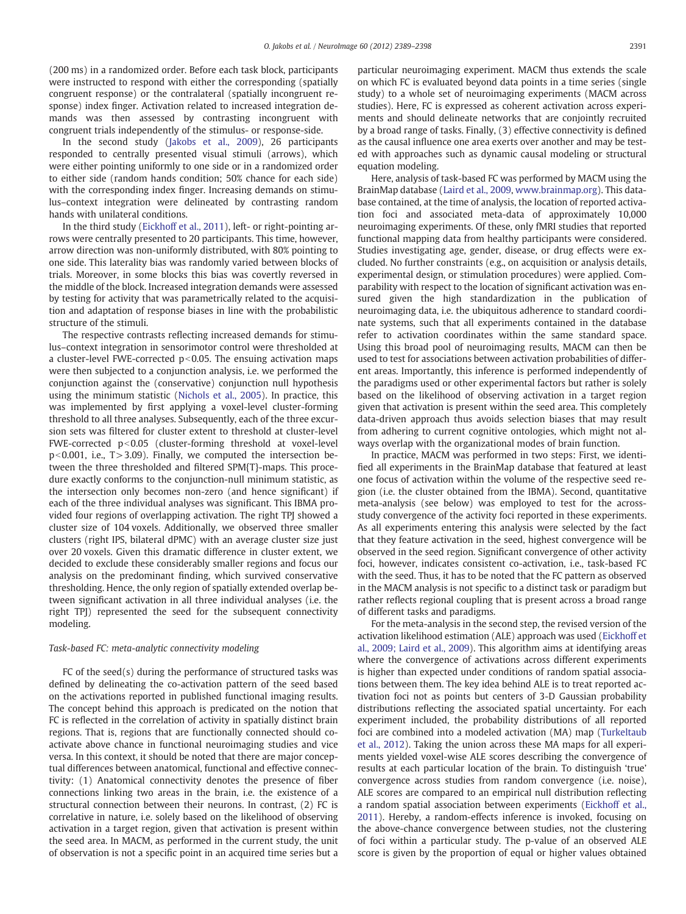(200 ms) in a randomized order. Before each task block, participants were instructed to respond with either the corresponding (spatially congruent response) or the contralateral (spatially incongruent response) index finger. Activation related to increased integration demands was then assessed by contrasting incongruent with congruent trials independently of the stimulus- or response-side.

In the second study ([Jakobs et al., 2009\)](#page-8-0), 26 participants responded to centrally presented visual stimuli (arrows), which were either pointing uniformly to one side or in a randomized order to either side (random hands condition; 50% chance for each side) with the corresponding index finger. Increasing demands on stimulus–context integration were delineated by contrasting random hands with unilateral conditions.

In the third study ([Eickhoff et al., 2011\)](#page-8-0), left- or right-pointing arrows were centrally presented to 20 participants. This time, however, arrow direction was non-uniformly distributed, with 80% pointing to one side. This laterality bias was randomly varied between blocks of trials. Moreover, in some blocks this bias was covertly reversed in the middle of the block. Increased integration demands were assessed by testing for activity that was parametrically related to the acquisition and adaptation of response biases in line with the probabilistic structure of the stimuli.

The respective contrasts reflecting increased demands for stimulus–context integration in sensorimotor control were thresholded at a cluster-level FWE-corrected  $p<0.05$ . The ensuing activation maps were then subjected to a conjunction analysis, i.e. we performed the conjunction against the (conservative) conjunction null hypothesis using the minimum statistic ([Nichols et al., 2005\)](#page-9-0). In practice, this was implemented by first applying a voxel-level cluster-forming threshold to all three analyses. Subsequently, each of the three excursion sets was filtered for cluster extent to threshold at cluster-level FWE-corrected  $p<0.05$  (cluster-forming threshold at voxel-level  $p<0.001$ , i.e., T $> 3.09$ ). Finally, we computed the intersection between the three thresholded and filtered SPM{T}-maps. This procedure exactly conforms to the conjunction-null minimum statistic, as the intersection only becomes non-zero (and hence significant) if each of the three individual analyses was significant. This IBMA provided four regions of overlapping activation. The right TPJ showed a cluster size of 104 voxels. Additionally, we observed three smaller clusters (right IPS, bilateral dPMC) with an average cluster size just over 20 voxels. Given this dramatic difference in cluster extent, we decided to exclude these considerably smaller regions and focus our analysis on the predominant finding, which survived conservative thresholding. Hence, the only region of spatially extended overlap between significant activation in all three individual analyses (i.e. the right TPJ) represented the seed for the subsequent connectivity modeling.

# Task-based FC: meta-analytic connectivity modeling

FC of the seed(s) during the performance of structured tasks was defined by delineating the co-activation pattern of the seed based on the activations reported in published functional imaging results. The concept behind this approach is predicated on the notion that FC is reflected in the correlation of activity in spatially distinct brain regions. That is, regions that are functionally connected should coactivate above chance in functional neuroimaging studies and vice versa. In this context, it should be noted that there are major conceptual differences between anatomical, functional and effective connectivity: (1) Anatomical connectivity denotes the presence of fiber connections linking two areas in the brain, i.e. the existence of a structural connection between their neurons. In contrast, (2) FC is correlative in nature, i.e. solely based on the likelihood of observing activation in a target region, given that activation is present within the seed area. In MACM, as performed in the current study, the unit of observation is not a specific point in an acquired time series but a particular neuroimaging experiment. MACM thus extends the scale on which FC is evaluated beyond data points in a time series (single study) to a whole set of neuroimaging experiments (MACM across studies). Here, FC is expressed as coherent activation across experiments and should delineate networks that are conjointly recruited by a broad range of tasks. Finally, (3) effective connectivity is defined as the causal influence one area exerts over another and may be tested with approaches such as dynamic causal modeling or structural equation modeling.

Here, analysis of task-based FC was performed by MACM using the BrainMap database ([Laird et al., 2009,](#page-8-0) [www.brainmap.org\)](http://www.brainmap.org). This database contained, at the time of analysis, the location of reported activation foci and associated meta-data of approximately 10,000 neuroimaging experiments. Of these, only fMRI studies that reported functional mapping data from healthy participants were considered. Studies investigating age, gender, disease, or drug effects were excluded. No further constraints (e.g., on acquisition or analysis details, experimental design, or stimulation procedures) were applied. Comparability with respect to the location of significant activation was ensured given the high standardization in the publication of neuroimaging data, i.e. the ubiquitous adherence to standard coordinate systems, such that all experiments contained in the database refer to activation coordinates within the same standard space. Using this broad pool of neuroimaging results, MACM can then be used to test for associations between activation probabilities of different areas. Importantly, this inference is performed independently of the paradigms used or other experimental factors but rather is solely based on the likelihood of observing activation in a target region given that activation is present within the seed area. This completely data-driven approach thus avoids selection biases that may result from adhering to current cognitive ontologies, which might not always overlap with the organizational modes of brain function.

In practice, MACM was performed in two steps: First, we identified all experiments in the BrainMap database that featured at least one focus of activation within the volume of the respective seed region (i.e. the cluster obtained from the IBMA). Second, quantitative meta-analysis (see below) was employed to test for the acrossstudy convergence of the activity foci reported in these experiments. As all experiments entering this analysis were selected by the fact that they feature activation in the seed, highest convergence will be observed in the seed region. Significant convergence of other activity foci, however, indicates consistent co-activation, i.e., task-based FC with the seed. Thus, it has to be noted that the FC pattern as observed in the MACM analysis is not specific to a distinct task or paradigm but rather reflects regional coupling that is present across a broad range of different tasks and paradigms.

For the meta-analysis in the second step, the revised version of the activation likelihood estimation (ALE) approach was used [\(Eickhoff et](#page-8-0) [al., 2009; Laird et al., 2009\)](#page-8-0). This algorithm aims at identifying areas where the convergence of activations across different experiments is higher than expected under conditions of random spatial associations between them. The key idea behind ALE is to treat reported activation foci not as points but centers of 3-D Gaussian probability distributions reflecting the associated spatial uncertainty. For each experiment included, the probability distributions of all reported foci are combined into a modeled activation (MA) map [\(Turkeltaub](#page-9-0) [et al., 2012](#page-9-0)). Taking the union across these MA maps for all experiments yielded voxel-wise ALE scores describing the convergence of results at each particular location of the brain. To distinguish 'true' convergence across studies from random convergence (i.e. noise), ALE scores are compared to an empirical null distribution reflecting a random spatial association between experiments [\(Eickhoff et al.,](#page-8-0) [2011\)](#page-8-0). Hereby, a random-effects inference is invoked, focusing on the above-chance convergence between studies, not the clustering of foci within a particular study. The p-value of an observed ALE score is given by the proportion of equal or higher values obtained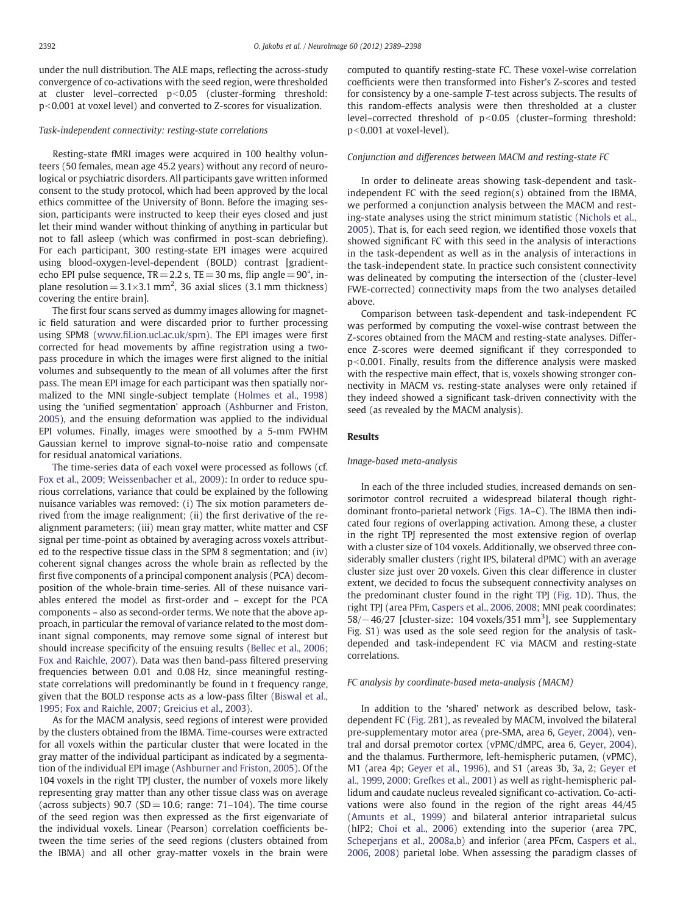under the null distribution. The ALE maps, reflecting the across-study convergence of co-activations with the seed region, were thresholded at cluster level–corrected  $p<0.05$  (cluster-forming threshold:  $p$ <0.001 at voxel level) and converted to Z-scores for visualization.

# Task-independent connectivity: resting-state correlations

Resting-state fMRI images were acquired in 100 healthy volunteers (50 females, mean age 45.2 years) without any record of neurological or psychiatric disorders. All participants gave written informed consent to the study protocol, which had been approved by the local ethics committee of the University of Bonn. Before the imaging session, participants were instructed to keep their eyes closed and just let their mind wander without thinking of anything in particular but not to fall asleep (which was confirmed in post-scan debriefing). For each participant, 300 resting-state EPI images were acquired using blood-oxygen-level-dependent (BOLD) contrast [gradientecho EPI pulse sequence,  $TR = 2.2$  s,  $TE = 30$  ms, flip angle  $= 90^{\circ}$ , inplane resolution =  $3.1 \times 3.1$  mm<sup>2</sup>, 36 axial slices (3.1 mm thickness) covering the entire brain].

The first four scans served as dummy images allowing for magnetic field saturation and were discarded prior to further processing using SPM8 (www.fi[l.ion.ucl.ac.uk/spm\)](http://www.fil.ion.ucl.ac.uk/spm). The EPI images were first corrected for head movements by affine registration using a twopass procedure in which the images were first aligned to the initial volumes and subsequently to the mean of all volumes after the first pass. The mean EPI image for each participant was then spatially normalized to the MNI single-subject template ([Holmes et al., 1998](#page-8-0)) using the 'unified segmentation' approach ([Ashburner and Friston,](#page-8-0) [2005\)](#page-8-0), and the ensuing deformation was applied to the individual EPI volumes. Finally, images were smoothed by a 5-mm FWHM Gaussian kernel to improve signal-to-noise ratio and compensate for residual anatomical variations.

The time-series data of each voxel were processed as follows (cf. [Fox et al., 2009; Weissenbacher et al., 2009\)](#page-8-0): In order to reduce spurious correlations, variance that could be explained by the following nuisance variables was removed: (i) The six motion parameters derived from the image realignment; (ii) the first derivative of the realignment parameters; (iii) mean gray matter, white matter and CSF signal per time-point as obtained by averaging across voxels attributed to the respective tissue class in the SPM 8 segmentation; and (iv) coherent signal changes across the whole brain as reflected by the first five components of a principal component analysis (PCA) decomposition of the whole-brain time-series. All of these nuisance variables entered the model as first-order and – except for the PCA components – also as second-order terms. We note that the above approach, in particular the removal of variance related to the most dominant signal components, may remove some signal of interest but should increase specificity of the ensuing results ([Bellec et al., 2006;](#page-8-0) [Fox and Raichle, 2007](#page-8-0)). Data was then band-pass filtered preserving frequencies between 0.01 and 0.08 Hz, since meaningful restingstate correlations will predominantly be found in t frequency range, given that the BOLD response acts as a low-pass filter ([Biswal et al.,](#page-8-0) [1995; Fox and Raichle, 2007; Greicius et al., 2003\)](#page-8-0).

As for the MACM analysis, seed regions of interest were provided by the clusters obtained from the IBMA. Time-courses were extracted for all voxels within the particular cluster that were located in the gray matter of the individual participant as indicated by a segmentation of the individual EPI image ([Ashburner and Friston, 2005](#page-8-0)). Of the 104 voxels in the right TPJ cluster, the number of voxels more likely representing gray matter than any other tissue class was on average (across subjects) 90.7 ( $SD = 10.6$ ; range: 71–104). The time course of the seed region was then expressed as the first eigenvariate of the individual voxels. Linear (Pearson) correlation coefficients between the time series of the seed regions (clusters obtained from the IBMA) and all other gray-matter voxels in the brain were

computed to quantify resting-state FC. These voxel-wise correlation coefficients were then transformed into Fisher's Z-scores and tested for consistency by a one-sample T-test across subjects. The results of this random-effects analysis were then thresholded at a cluster level–corrected threshold of  $p<0.05$  (cluster–forming threshold:  $p<0.001$  at voxel-level).

# Conjunction and differences between MACM and resting-state FC

In order to delineate areas showing task-dependent and taskindependent FC with the seed region(s) obtained from the IBMA, we performed a conjunction analysis between the MACM and resting-state analyses using the strict minimum statistic ([Nichols et al.,](#page-9-0) [2005](#page-9-0)). That is, for each seed region, we identified those voxels that showed significant FC with this seed in the analysis of interactions in the task-dependent as well as in the analysis of interactions in the task-independent state. In practice such consistent connectivity was delineated by computing the intersection of the (cluster-level FWE-corrected) connectivity maps from the two analyses detailed above.

Comparison between task-dependent and task-independent FC was performed by computing the voxel-wise contrast between the Z-scores obtained from the MACM and resting-state analyses. Difference Z-scores were deemed significant if they corresponded to  $p$ <0.001. Finally, results from the difference analysis were masked with the respective main effect, that is, voxels showing stronger connectivity in MACM vs. resting-state analyses were only retained if they indeed showed a significant task-driven connectivity with the seed (as revealed by the MACM analysis).

#### Results

# Image-based meta-analysis

In each of the three included studies, increased demands on sensorimotor control recruited a widespread bilateral though rightdominant fronto-parietal network ([Figs. 1A](#page-4-0)–C). The IBMA then indicated four regions of overlapping activation. Among these, a cluster in the right TPJ represented the most extensive region of overlap with a cluster size of 104 voxels. Additionally, we observed three considerably smaller clusters (right IPS, bilateral dPMC) with an average cluster size just over 20 voxels. Given this clear difference in cluster extent, we decided to focus the subsequent connectivity analyses on the predominant cluster found in the right TPJ [\(Fig. 1](#page-4-0)D). Thus, the right TPJ (area PFm, [Caspers et al., 2006, 2008](#page-8-0); MNI peak coordinates: 58/ − 46/27 [cluster-size: 104 voxels/351 mm<sup>3</sup>], see Supplementary Fig. S1) was used as the sole seed region for the analysis of taskdepended and task-independent FC via MACM and resting-state correlations.

# FC analysis by coordinate-based meta-analysis (MACM)

In addition to the 'shared' network as described below, taskdependent FC [\(Fig. 2](#page-5-0)B1), as revealed by MACM, involved the bilateral pre-supplementary motor area (pre-SMA, area 6, [Geyer, 2004](#page-8-0)), ventral and dorsal premotor cortex (vPMC/dMPC, area 6, [Geyer, 2004](#page-8-0)), and the thalamus. Furthermore, left-hemispheric putamen, (vPMC), M1 (area 4p; [Geyer et al., 1996](#page-8-0)), and S1 (areas 3b, 3a, 2; [Geyer et](#page-8-0) [al., 1999, 2000; Grefkes et al., 2001](#page-8-0)) as well as right-hemispheric pallidum and caudate nucleus revealed significant co-activation. Co-activations were also found in the region of the right areas 44/45 [\(Amunts et al., 1999](#page-8-0)) and bilateral anterior intraparietal sulcus (hIP2; [Choi et al., 2006](#page-8-0)) extending into the superior (area 7PC, [Scheperjans et al., 2008a,b\)](#page-9-0) and inferior (area PFcm, [Caspers et al.,](#page-8-0) [2006, 2008](#page-8-0)) parietal lobe. When assessing the paradigm classes of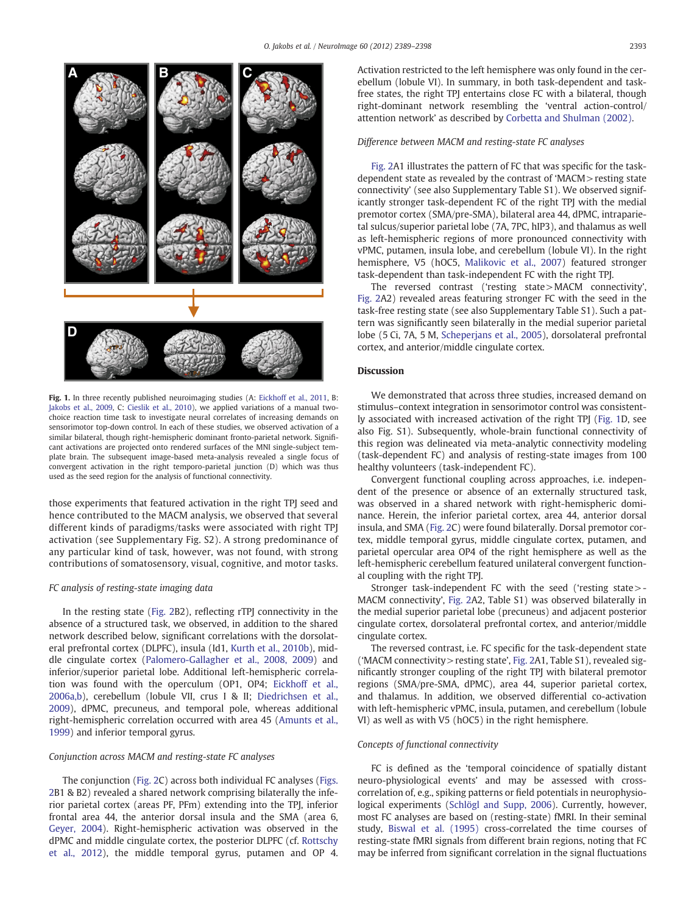<span id="page-4-0"></span>

Fig. 1. In three recently published neuroimaging studies (A: [Eickhoff et al., 2011](#page-8-0), B: [Jakobs et al., 2009,](#page-8-0) C: [Cieslik et al., 2010](#page-8-0)), we applied variations of a manual twochoice reaction time task to investigate neural correlates of increasing demands on sensorimotor top-down control. In each of these studies, we observed activation of a similar bilateral, though right-hemispheric dominant fronto-parietal network. Significant activations are projected onto rendered surfaces of the MNI single-subject template brain. The subsequent image-based meta-analysis revealed a single focus of convergent activation in the right temporo-parietal junction (D) which was thus used as the seed region for the analysis of functional connectivity.

those experiments that featured activation in the right TPJ seed and hence contributed to the MACM analysis, we observed that several different kinds of paradigms/tasks were associated with right TPJ activation (see Supplementary Fig. S2). A strong predominance of any particular kind of task, however, was not found, with strong contributions of somatosensory, visual, cognitive, and motor tasks.

# FC analysis of resting-state imaging data

In the resting state ([Fig. 2B](#page-5-0)2), reflecting rTPJ connectivity in the absence of a structured task, we observed, in addition to the shared network described below, significant correlations with the dorsolateral prefrontal cortex (DLPFC), insula (Id1, [Kurth et al., 2010b](#page-8-0)), middle cingulate cortex ([Palomero-Gallagher et al., 2008, 2009](#page-9-0)) and inferior/superior parietal lobe. Additional left-hemispheric correlation was found with the operculum (OP1, OP4; [Eickhoff et al.,](#page-8-0) [2006a,b](#page-8-0)), cerebellum (lobule VII, crus I & II; [Diedrichsen et al.,](#page-8-0) [2009\)](#page-8-0), dPMC, precuneus, and temporal pole, whereas additional right-hemispheric correlation occurred with area 45 [\(Amunts et al.,](#page-8-0) [1999\)](#page-8-0) and inferior temporal gyrus.

# Conjunction across MACM and resting-state FC analyses

The conjunction ([Fig. 2C](#page-5-0)) across both individual FC analyses ([Figs.](#page-5-0) [2](#page-5-0)B1 & B2) revealed a shared network comprising bilaterally the inferior parietal cortex (areas PF, PFm) extending into the TPJ, inferior frontal area 44, the anterior dorsal insula and the SMA (area 6, [Geyer, 2004\)](#page-8-0). Right-hemispheric activation was observed in the dPMC and middle cingulate cortex, the posterior DLPFC (cf. [Rottschy](#page-9-0) [et al., 2012\)](#page-9-0), the middle temporal gyrus, putamen and OP 4. Activation restricted to the left hemisphere was only found in the cerebellum (lobule VI). In summary, in both task-dependent and taskfree states, the right TPJ entertains close FC with a bilateral, though right-dominant network resembling the 'ventral action-control/ attention network' as described by [Corbetta and Shulman \(2002\).](#page-8-0)

# Difference between MACM and resting-state FC analyses

[Fig. 2A](#page-5-0)1 illustrates the pattern of FC that was specific for the taskdependent state as revealed by the contrast of 'MACM> resting state connectivity' (see also Supplementary Table S1). We observed significantly stronger task-dependent FC of the right TPJ with the medial premotor cortex (SMA/pre-SMA), bilateral area 44, dPMC, intraparietal sulcus/superior parietal lobe (7A, 7PC, hIP3), and thalamus as well as left-hemispheric regions of more pronounced connectivity with vPMC, putamen, insula lobe, and cerebellum (lobule VI). In the right hemisphere, V5 (hOC5, [Malikovic et al., 2007\)](#page-8-0) featured stronger task-dependent than task-independent FC with the right TPJ.

The reversed contrast ('resting state>MACM connectivity', [Fig. 2A](#page-5-0)2) revealed areas featuring stronger FC with the seed in the task-free resting state (see also Supplementary Table S1). Such a pattern was significantly seen bilaterally in the medial superior parietal lobe (5 Ci, 7A, 5 M, [Scheperjans et al., 2005\)](#page-9-0), dorsolateral prefrontal cortex, and anterior/middle cingulate cortex.

# **Discussion**

We demonstrated that across three studies, increased demand on stimulus–context integration in sensorimotor control was consistently associated with increased activation of the right TPJ (Fig. 1D, see also Fig. S1). Subsequently, whole-brain functional connectivity of this region was delineated via meta-analytic connectivity modeling (task-dependent FC) and analysis of resting-state images from 100 healthy volunteers (task-independent FC).

Convergent functional coupling across approaches, i.e. independent of the presence or absence of an externally structured task, was observed in a shared network with right-hemispheric dominance. Herein, the inferior parietal cortex, area 44, anterior dorsal insula, and SMA [\(Fig. 2](#page-5-0)C) were found bilaterally. Dorsal premotor cortex, middle temporal gyrus, middle cingulate cortex, putamen, and parietal opercular area OP4 of the right hemisphere as well as the left-hemispheric cerebellum featured unilateral convergent functional coupling with the right TPJ.

Stronger task-independent FC with the seed ('resting state> - MACM connectivity', [Fig. 2](#page-5-0)A2, Table S1) was observed bilaterally in the medial superior parietal lobe (precuneus) and adjacent posterior cingulate cortex, dorsolateral prefrontal cortex, and anterior/middle cingulate cortex.

The reversed contrast, i.e. FC specific for the task-dependent state ('MACM connectivity> resting state', [Fig. 2](#page-5-0)A1, Table S1), revealed significantly stronger coupling of the right TPJ with bilateral premotor regions (SMA/pre-SMA, dPMC), area 44, superior parietal cortex, and thalamus. In addition, we observed differential co-activation with left-hemispheric vPMC, insula, putamen, and cerebellum (lobule VI) as well as with V5 (hOC5) in the right hemisphere.

# Concepts of functional connectivity

FC is defined as the 'temporal coincidence of spatially distant neuro-physiological events' and may be assessed with crosscorrelation of, e.g., spiking patterns or field potentials in neurophysiological experiments [\(Schlögl and Supp, 2006](#page-9-0)). Currently, however, most FC analyses are based on (resting-state) fMRI. In their seminal study, [Biswal et al. \(1995\)](#page-8-0) cross-correlated the time courses of resting-state fMRI signals from different brain regions, noting that FC may be inferred from significant correlation in the signal fluctuations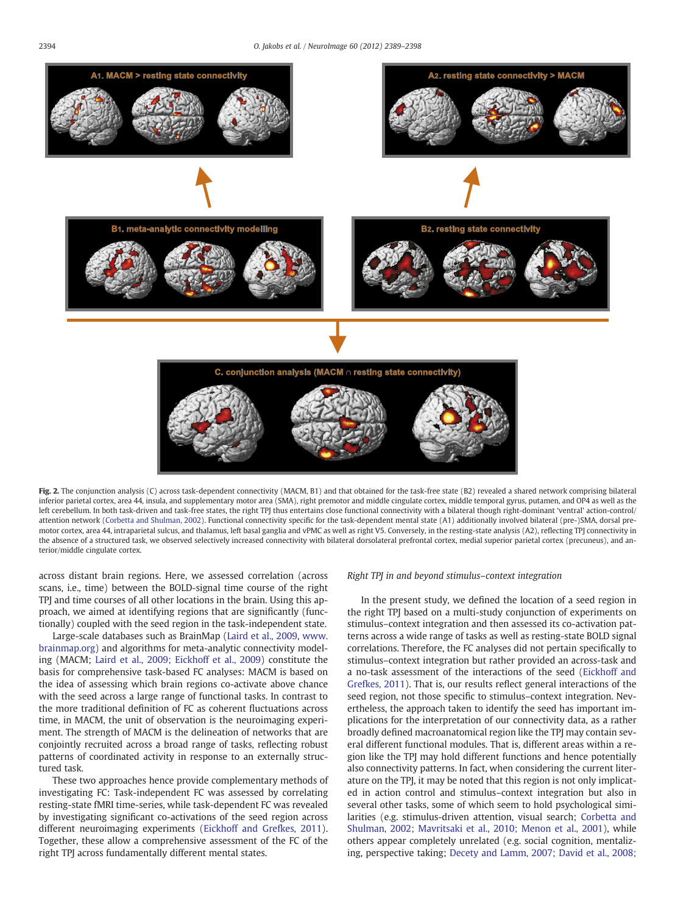<span id="page-5-0"></span>

Fig. 2. The conjunction analysis (C) across task-dependent connectivity (MACM, B1) and that obtained for the task-free state (B2) revealed a shared network comprising bilateral inferior parietal cortex, area 44, insula, and supplementary motor area (SMA), right premotor and middle cingulate cortex, middle temporal gyrus, putamen, and OP4 as well as the left cerebellum. In both task-driven and task-free states, the right TPJ thus entertains close functional connectivity with a bilateral though right-dominant 'ventral' action-control/ attention network ([Corbetta and Shulman, 2002\)](#page-8-0). Functional connectivity specific for the task-dependent mental state (A1) additionally involved bilateral (pre-)SMA, dorsal premotor cortex, area 44, intraparietal sulcus, and thalamus, left basal ganglia and vPMC as well as right V5. Conversely, in the resting-state analysis (A2), reflecting TPJ connectivity in the absence of a structured task, we observed selectively increased connectivity with bilateral dorsolateral prefrontal cortex, medial superior parietal cortex (precuneus), and anterior/middle cingulate cortex.

across distant brain regions. Here, we assessed correlation (across scans, i.e., time) between the BOLD-signal time course of the right TPJ and time courses of all other locations in the brain. Using this approach, we aimed at identifying regions that are significantly (functionally) coupled with the seed region in the task-independent state.

Large-scale databases such as BrainMap [\(Laird et al., 2009](#page-8-0), [www.](http://www.brainmap.org) [brainmap.org\)](http://www.brainmap.org) and algorithms for meta-analytic connectivity modeling (MACM; [Laird et al., 2009; Eickhoff et al., 2009\)](#page-8-0) constitute the basis for comprehensive task-based FC analyses: MACM is based on the idea of assessing which brain regions co-activate above chance with the seed across a large range of functional tasks. In contrast to the more traditional definition of FC as coherent fluctuations across time, in MACM, the unit of observation is the neuroimaging experiment. The strength of MACM is the delineation of networks that are conjointly recruited across a broad range of tasks, reflecting robust patterns of coordinated activity in response to an externally structured task.

These two approaches hence provide complementary methods of investigating FC: Task-independent FC was assessed by correlating resting-state fMRI time-series, while task-dependent FC was revealed by investigating significant co-activations of the seed region across different neuroimaging experiments ([Eickhoff and Grefkes, 2011](#page-8-0)). Together, these allow a comprehensive assessment of the FC of the right TPJ across fundamentally different mental states.

#### Right TPJ in and beyond stimulus–context integration

In the present study, we defined the location of a seed region in the right TPJ based on a multi-study conjunction of experiments on stimulus–context integration and then assessed its co-activation patterns across a wide range of tasks as well as resting-state BOLD signal correlations. Therefore, the FC analyses did not pertain specifically to stimulus–context integration but rather provided an across-task and a no-task assessment of the interactions of the seed [\(Eickhoff and](#page-8-0) [Grefkes, 2011\)](#page-8-0). That is, our results reflect general interactions of the seed region, not those specific to stimulus–context integration. Nevertheless, the approach taken to identify the seed has important implications for the interpretation of our connectivity data, as a rather broadly defined macroanatomical region like the TPJ may contain several different functional modules. That is, different areas within a region like the TPJ may hold different functions and hence potentially also connectivity patterns. In fact, when considering the current literature on the TPJ, it may be noted that this region is not only implicated in action control and stimulus–context integration but also in several other tasks, some of which seem to hold psychological similarities (e.g. stimulus-driven attention, visual search; [Corbetta and](#page-8-0) [Shulman, 2002; Mavritsaki et al., 2010; Menon et al., 2001\)](#page-8-0), while others appear completely unrelated (e.g. social cognition, mentalizing, perspective taking; [Decety and Lamm, 2007; David et al., 2008;](#page-8-0)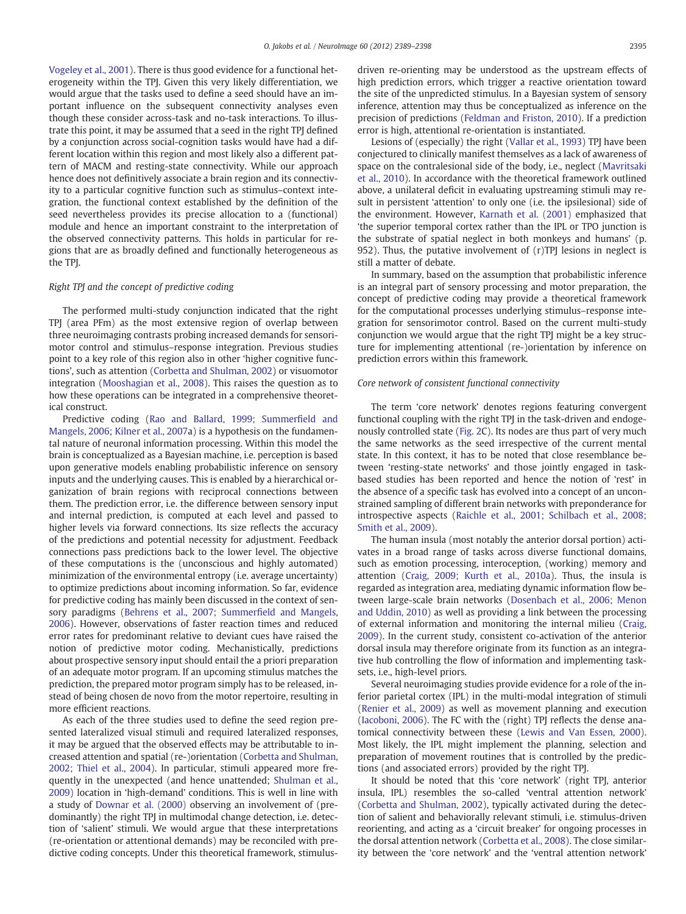[Vogeley et al., 2001](#page-8-0)). There is thus good evidence for a functional heterogeneity within the TPJ. Given this very likely differentiation, we would argue that the tasks used to define a seed should have an important influence on the subsequent connectivity analyses even though these consider across-task and no-task interactions. To illustrate this point, it may be assumed that a seed in the right TPJ defined by a conjunction across social-cognition tasks would have had a different location within this region and most likely also a different pattern of MACM and resting-state connectivity. While our approach hence does not definitively associate a brain region and its connectivity to a particular cognitive function such as stimulus–context integration, the functional context established by the definition of the seed nevertheless provides its precise allocation to a (functional) module and hence an important constraint to the interpretation of the observed connectivity patterns. This holds in particular for regions that are as broadly defined and functionally heterogeneous as the TPJ.

# Right TPJ and the concept of predictive coding

The performed multi-study conjunction indicated that the right TPJ (area PFm) as the most extensive region of overlap between three neuroimaging contrasts probing increased demands for sensorimotor control and stimulus–response integration. Previous studies point to a key role of this region also in other 'higher cognitive functions', such as attention ([Corbetta and Shulman, 2002\)](#page-8-0) or visuomotor integration [\(Mooshagian et al., 2008](#page-9-0)). This raises the question as to how these operations can be integrated in a comprehensive theoretical construct.

Predictive coding ([Rao and Ballard, 1999; Summer](#page-9-0)field and [Mangels, 2006; Kilner et al., 2007](#page-9-0)a) is a hypothesis on the fundamental nature of neuronal information processing. Within this model the brain is conceptualized as a Bayesian machine, i.e. perception is based upon generative models enabling probabilistic inference on sensory inputs and the underlying causes. This is enabled by a hierarchical organization of brain regions with reciprocal connections between them. The prediction error, i.e. the difference between sensory input and internal prediction, is computed at each level and passed to higher levels via forward connections. Its size reflects the accuracy of the predictions and potential necessity for adjustment. Feedback connections pass predictions back to the lower level. The objective of these computations is the (unconscious and highly automated) minimization of the environmental entropy (i.e. average uncertainty) to optimize predictions about incoming information. So far, evidence for predictive coding has mainly been discussed in the context of sensory paradigms [\(Behrens et al., 2007; Summer](#page-8-0)field and Mangels, [2006\)](#page-8-0). However, observations of faster reaction times and reduced error rates for predominant relative to deviant cues have raised the notion of predictive motor coding. Mechanistically, predictions about prospective sensory input should entail the a priori preparation of an adequate motor program. If an upcoming stimulus matches the prediction, the prepared motor program simply has to be released, instead of being chosen de novo from the motor repertoire, resulting in more efficient reactions.

As each of the three studies used to define the seed region presented lateralized visual stimuli and required lateralized responses, it may be argued that the observed effects may be attributable to increased attention and spatial (re-)orientation [\(Corbetta and Shulman,](#page-8-0) [2002; Thiel et al., 2004](#page-8-0)). In particular, stimuli appeared more frequently in the unexpected (and hence unattended; [Shulman et al.,](#page-9-0) [2009\)](#page-9-0) location in 'high-demand' conditions. This is well in line with a study of [Downar et al. \(2000\)](#page-8-0) observing an involvement of (predominantly) the right TPJ in multimodal change detection, i.e. detection of 'salient' stimuli. We would argue that these interpretations (re-orientation or attentional demands) may be reconciled with predictive coding concepts. Under this theoretical framework, stimulusdriven re-orienting may be understood as the upstream effects of high prediction errors, which trigger a reactive orientation toward the site of the unpredicted stimulus. In a Bayesian system of sensory inference, attention may thus be conceptualized as inference on the precision of predictions [\(Feldman and Friston, 2010\)](#page-8-0). If a prediction error is high, attentional re-orientation is instantiated.

Lesions of (especially) the right [\(Vallar et al., 1993](#page-9-0)) TPJ have been conjectured to clinically manifest themselves as a lack of awareness of space on the contralesional side of the body, i.e., neglect [\(Mavritsaki](#page-8-0) [et al., 2010](#page-8-0)). In accordance with the theoretical framework outlined above, a unilateral deficit in evaluating upstreaming stimuli may result in persistent 'attention' to only one (i.e. the ipsilesional) side of the environment. However, [Karnath et al. \(2001\)](#page-8-0) emphasized that 'the superior temporal cortex rather than the IPL or TPO junction is the substrate of spatial neglect in both monkeys and humans' (p. 952). Thus, the putative involvement of  $(r)$ TPJ lesions in neglect is still a matter of debate.

In summary, based on the assumption that probabilistic inference is an integral part of sensory processing and motor preparation, the concept of predictive coding may provide a theoretical framework for the computational processes underlying stimulus–response integration for sensorimotor control. Based on the current multi-study conjunction we would argue that the right TPJ might be a key structure for implementing attentional (re-)orientation by inference on prediction errors within this framework.

# Core network of consistent functional connectivity

The term 'core network' denotes regions featuring convergent functional coupling with the right TPJ in the task-driven and endogenously controlled state [\(Fig. 2](#page-5-0)C). Its nodes are thus part of very much the same networks as the seed irrespective of the current mental state. In this context, it has to be noted that close resemblance between 'resting-state networks' and those jointly engaged in taskbased studies has been reported and hence the notion of 'rest' in the absence of a specific task has evolved into a concept of an unconstrained sampling of different brain networks with preponderance for introspective aspects [\(Raichle et al., 2001; Schilbach et al., 2008;](#page-9-0) [Smith et al., 2009](#page-9-0)).

The human insula (most notably the anterior dorsal portion) activates in a broad range of tasks across diverse functional domains, such as emotion processing, interoception, (working) memory and attention [\(Craig, 2009; Kurth et al., 2010a](#page-8-0)). Thus, the insula is regarded as integration area, mediating dynamic information flow between large-scale brain networks ([Dosenbach et al., 2006; Menon](#page-8-0) [and Uddin, 2010](#page-8-0)) as well as providing a link between the processing of external information and monitoring the internal milieu [\(Craig,](#page-8-0) [2009\)](#page-8-0). In the current study, consistent co-activation of the anterior dorsal insula may therefore originate from its function as an integrative hub controlling the flow of information and implementing tasksets, i.e., high-level priors.

Several neuroimaging studies provide evidence for a role of the inferior parietal cortex (IPL) in the multi-modal integration of stimuli [\(Renier et al., 2009](#page-9-0)) as well as movement planning and execution [\(Iacoboni, 2006\)](#page-8-0). The FC with the (right) TPJ reflects the dense anatomical connectivity between these [\(Lewis and Van Essen, 2000](#page-8-0)). Most likely, the IPL might implement the planning, selection and preparation of movement routines that is controlled by the predictions (and associated errors) provided by the right TPJ.

It should be noted that this 'core network' (right TPJ, anterior insula, IPL) resembles the so-called 'ventral attention network' [\(Corbetta and Shulman, 2002](#page-8-0)), typically activated during the detection of salient and behaviorally relevant stimuli, i.e. stimulus-driven reorienting, and acting as a 'circuit breaker' for ongoing processes in the dorsal attention network [\(Corbetta et al., 2008](#page-8-0)). The close similarity between the 'core network' and the 'ventral attention network'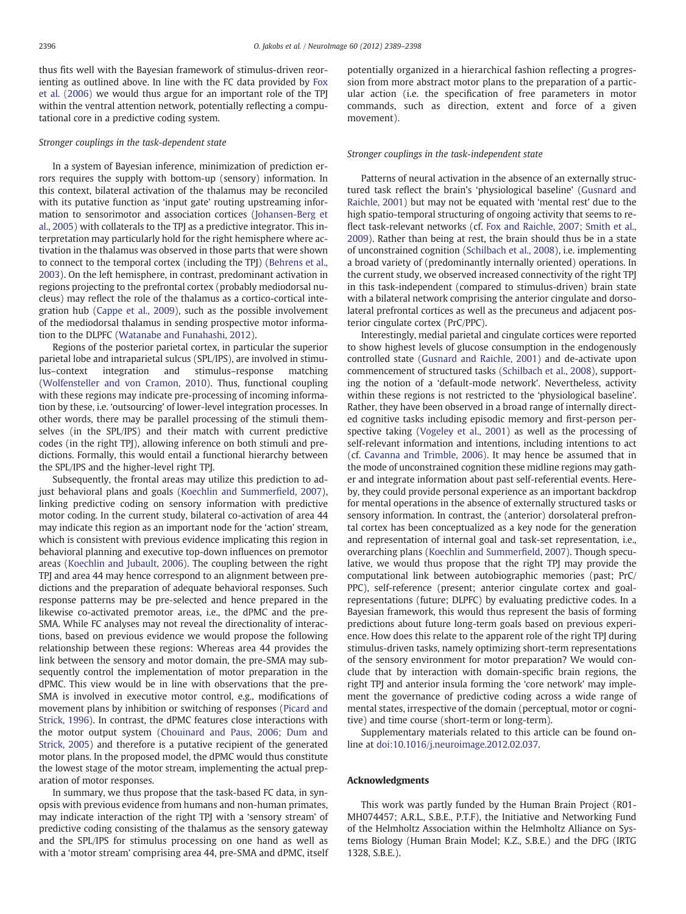thus fits well with the Bayesian framework of stimulus-driven reorienting as outlined above. In line with the FC data provided by [Fox](#page-8-0) [et al. \(2006\)](#page-8-0) we would thus argue for an important role of the TPJ within the ventral attention network, potentially reflecting a computational core in a predictive coding system.

# Stronger couplings in the task-dependent state

In a system of Bayesian inference, minimization of prediction errors requires the supply with bottom-up (sensory) information. In this context, bilateral activation of the thalamus may be reconciled with its putative function as 'input gate' routing upstreaming information to sensorimotor and association cortices ([Johansen-Berg et](#page-8-0) [al., 2005\)](#page-8-0) with collaterals to the TPJ as a predictive integrator. This interpretation may particularly hold for the right hemisphere where activation in the thalamus was observed in those parts that were shown to connect to the temporal cortex (including the TPJ) ([Behrens et al.,](#page-8-0) [2003\)](#page-8-0). On the left hemisphere, in contrast, predominant activation in regions projecting to the prefrontal cortex (probably mediodorsal nucleus) may reflect the role of the thalamus as a cortico-cortical integration hub [\(Cappe et al., 2009\)](#page-8-0), such as the possible involvement of the mediodorsal thalamus in sending prospective motor information to the DLPFC [\(Watanabe and Funahashi, 2012\)](#page-9-0).

Regions of the posterior parietal cortex, in particular the superior parietal lobe and intraparietal sulcus (SPL/IPS), are involved in stimulus–context integration and stimulus–response matching [\(Wolfensteller and von Cramon, 2010](#page-9-0)). Thus, functional coupling with these regions may indicate pre-processing of incoming information by these, i.e. 'outsourcing' of lower-level integration processes. In other words, there may be parallel processing of the stimuli themselves (in the SPL/IPS) and their match with current predictive codes (in the right TPJ), allowing inference on both stimuli and predictions. Formally, this would entail a functional hierarchy between the SPL/IPS and the higher-level right TPJ.

Subsequently, the frontal areas may utilize this prediction to adjust behavioral plans and goals [\(Koechlin and Summer](#page-8-0)field, 2007), linking predictive coding on sensory information with predictive motor coding. In the current study, bilateral co-activation of area 44 may indicate this region as an important node for the 'action' stream, which is consistent with previous evidence implicating this region in behavioral planning and executive top-down influences on premotor areas [\(Koechlin and Jubault, 2006](#page-8-0)). The coupling between the right TPJ and area 44 may hence correspond to an alignment between predictions and the preparation of adequate behavioral responses. Such response patterns may be pre-selected and hence prepared in the likewise co-activated premotor areas, i.e., the dPMC and the pre-SMA. While FC analyses may not reveal the directionality of interactions, based on previous evidence we would propose the following relationship between these regions: Whereas area 44 provides the link between the sensory and motor domain, the pre-SMA may subsequently control the implementation of motor preparation in the dPMC. This view would be in line with observations that the pre-SMA is involved in executive motor control, e.g., modifications of movement plans by inhibition or switching of responses [\(Picard and](#page-9-0) [Strick, 1996](#page-9-0)). In contrast, the dPMC features close interactions with the motor output system ([Chouinard and Paus, 2006; Dum and](#page-8-0) [Strick, 2005\)](#page-8-0) and therefore is a putative recipient of the generated motor plans. In the proposed model, the dPMC would thus constitute the lowest stage of the motor stream, implementing the actual preparation of motor responses.

In summary, we thus propose that the task-based FC data, in synopsis with previous evidence from humans and non-human primates, may indicate interaction of the right TPJ with a 'sensory stream' of predictive coding consisting of the thalamus as the sensory gateway and the SPL/IPS for stimulus processing on one hand as well as with a 'motor stream' comprising area 44, pre-SMA and dPMC, itself

potentially organized in a hierarchical fashion reflecting a progression from more abstract motor plans to the preparation of a particular action (i.e. the specification of free parameters in motor commands, such as direction, extent and force of a given movement).

# Stronger couplings in the task-independent state

Patterns of neural activation in the absence of an externally structured task reflect the brain's 'physiological baseline' [\(Gusnard and](#page-8-0) [Raichle, 2001\)](#page-8-0) but may not be equated with 'mental rest' due to the high spatio-temporal structuring of ongoing activity that seems to reflect task-relevant networks (cf. [Fox and Raichle, 2007; Smith et al.,](#page-8-0) [2009\)](#page-8-0). Rather than being at rest, the brain should thus be in a state of unconstrained cognition [\(Schilbach et al., 2008\)](#page-9-0), i.e. implementing a broad variety of (predominantly internally oriented) operations. In the current study, we observed increased connectivity of the right TPJ in this task-independent (compared to stimulus-driven) brain state with a bilateral network comprising the anterior cingulate and dorsolateral prefrontal cortices as well as the precuneus and adjacent posterior cingulate cortex (PrC/PPC).

Interestingly, medial parietal and cingulate cortices were reported to show highest levels of glucose consumption in the endogenously controlled state [\(Gusnard and Raichle, 2001\)](#page-8-0) and de-activate upon commencement of structured tasks ([Schilbach et al., 2008\)](#page-9-0), supporting the notion of a 'default-mode network'. Nevertheless, activity within these regions is not restricted to the 'physiological baseline'. Rather, they have been observed in a broad range of internally directed cognitive tasks including episodic memory and first-person perspective taking ([Vogeley et al., 2001\)](#page-9-0) as well as the processing of self-relevant information and intentions, including intentions to act (cf. [Cavanna and Trimble, 2006](#page-8-0)). It may hence be assumed that in the mode of unconstrained cognition these midline regions may gather and integrate information about past self-referential events. Hereby, they could provide personal experience as an important backdrop for mental operations in the absence of externally structured tasks or sensory information. In contrast, the (anterior) dorsolateral prefrontal cortex has been conceptualized as a key node for the generation and representation of internal goal and task-set representation, i.e., overarching plans ([Koechlin and Summer](#page-8-0)field, 2007). Though speculative, we would thus propose that the right TPJ may provide the computational link between autobiographic memories (past; PrC/ PPC), self-reference (present; anterior cingulate cortex and goalrepresentations (future; DLPFC) by evaluating predictive codes. In a Bayesian framework, this would thus represent the basis of forming predictions about future long-term goals based on previous experience. How does this relate to the apparent role of the right TPJ during stimulus-driven tasks, namely optimizing short-term representations of the sensory environment for motor preparation? We would conclude that by interaction with domain-specific brain regions, the right TPJ and anterior insula forming the 'core network' may implement the governance of predictive coding across a wide range of mental states, irrespective of the domain (perceptual, motor or cognitive) and time course (short-term or long-term).

Supplementary materials related to this article can be found online at <doi:10.1016/j.neuroimage.2012.02.037>.

#### Acknowledgments

This work was partly funded by the Human Brain Project (R01- MH074457; A.R.L., S.B.E., P.T.F), the Initiative and Networking Fund of the Helmholtz Association within the Helmholtz Alliance on Systems Biology (Human Brain Model; K.Z., S.B.E.) and the DFG (IRTG 1328, S.B.E.).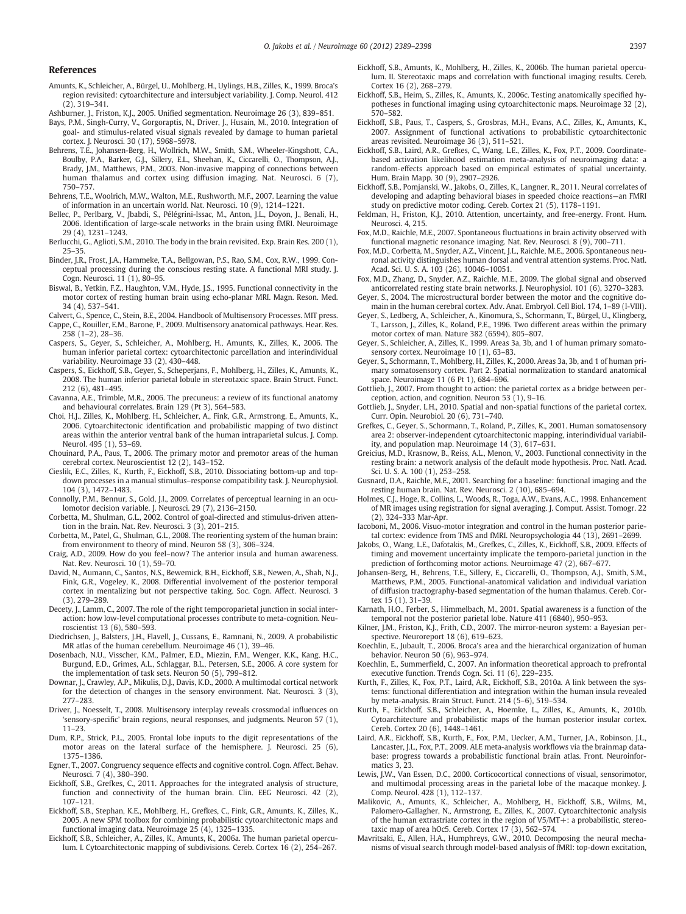# <span id="page-8-0"></span>References

Amunts, K., Schleicher, A., Bürgel, U., Mohlberg, H., Uylings, H.B., Zilles, K., 1999. Broca's region revisited: cytoarchitecture and intersubject variability. J. Comp. Neurol. 412 (2), 319–341.

Ashburner, J., Friston, K.J., 2005. Unified segmentation. Neuroimage 26 (3), 839–851. Bays, P.M., Singh-Curry, V., Gorgoraptis, N., Driver, J., Husain, M., 2010. Integration of

- goal- and stimulus-related visual signals revealed by damage to human parietal cortex. J. Neurosci. 30 (17), 5968–5978.
- Behrens, T.E., Johansen-Berg, H., Wollrich, M.W., Smith, S.M., Wheeler-Kingshott, C.A., Boulby, P.A., Barker, G.J., Sillery, E.L., Sheehan, K., Ciccarelli, O., Thompson, A.J., Brady, J.M., Matthews, P.M., 2003. Non-invasive mapping of connections between human thalamus and cortex using diffusion imaging. Nat. Neurosci. 6 (7), 750–757.
- Behrens, T.E., Woolrich, M.W., Walton, M.E., Rushworth, M.F., 2007. Learning the value of information in an uncertain world. Nat. Neurosci. 10 (9), 1214–1221.
- Bellec, P., Perlbarg, V., Jbabdi, S., Pélégrini-Issac, M., Anton, J.L., Doyon, J., Benali, H., 2006. Identification of large-scale networks in the brain using fMRI. Neuroimage 29 (4), 1231–1243.
- Berlucchi, G., Aglioti, S.M., 2010. The body in the brain revisited. Exp. Brain Res. 200 (1), 25–35.
- Binder, J.R., Frost, J.A., Hammeke, T.A., Bellgowan, P.S., Rao, S.M., Cox, R.W., 1999. Conceptual processing during the conscious resting state. A functional MRI study. J. Cogn. Neurosci. 11 (1), 80–95.
- Biswal, B., Yetkin, F.Z., Haughton, V.M., Hyde, J.S., 1995. Functional connectivity in the motor cortex of resting human brain using echo-planar MRI. Magn. Reson. Med. 34 (4), 537–541.
- Calvert, G., Spence, C., Stein, B.E., 2004. Handbook of Multisensory Processes. MIT press. Cappe, C., Rouiller, E.M., Barone, P., 2009. Multisensory anatomical pathways. Hear. Res. 258 (1–2), 28–36.
- Caspers, S., Geyer, S., Schleicher, A., Mohlberg, H., Amunts, K., Zilles, K., 2006. The human inferior parietal cortex: cytoarchitectonic parcellation and interindividual variability. Neuroimage 33 (2), 430–448.
- Caspers, S., Eickhoff, S.B., Geyer, S., Scheperjans, F., Mohlberg, H., Zilles, K., Amunts, K., 2008. The human inferior parietal lobule in stereotaxic space. Brain Struct. Funct. 212 (6), 481–495.
- Cavanna, A.E., Trimble, M.R., 2006. The precuneus: a review of its functional anatomy and behavioural correlates. Brain 129 (Pt 3), 564–583.
- Choi, H.J., Zilles, K., Mohlberg, H., Schleicher, A., Fink, G.R., Armstrong, E., Amunts, K., 2006. Cytoarchitectonic identification and probabilistic mapping of two distinct areas within the anterior ventral bank of the human intraparietal sulcus. J. Comp. Neurol. 495 (1), 53–69.
- Chouinard, P.A., Paus, T., 2006. The primary motor and premotor areas of the human cerebral cortex. Neuroscientist 12 (2), 143–152.
- Cieslik, E.C., Zilles, K., Kurth, F., Eickhoff, S.B., 2010. Dissociating bottom-up and topdown processes in a manual stimulus–response compatibility task. J. Neurophysiol. 104 (3), 1472–1483.
- Connolly, P.M., Bennur, S., Gold, J.I., 2009. Correlates of perceptual learning in an oculomotor decision variable. J. Neurosci. 29 (7), 2136–2150.
- Corbetta, M., Shulman, G.L., 2002. Control of goal-directed and stimulus-driven attention in the brain. Nat. Rev. Neurosci. 3 (3), 201–215.
- Corbetta, M., Patel, G., Shulman, G.L., 2008. The reorienting system of the human brain: from environment to theory of mind. Neuron 58 (3), 306–324.
- Craig, A.D., 2009. How do you feel–now? The anterior insula and human awareness. Nat. Rev. Neurosci. 10 (1), 59–70.
- David, N., Aumann, C., Santos, N.S., Bewemick, B.H., Eickhoff, S.B., Newen, A., Shah, N.J., Fink, G.R., Vogeley, K., 2008. Differential involvement of the posterior temporal cortex in mentalizing but not perspective taking. Soc. Cogn. Affect. Neurosci. 3 (3), 279–289.
- Decety, J., Lamm, C., 2007. The role of the right temporoparietal junction in social interaction: how low-level computational processes contribute to meta-cognition. Neuroscientist 13 (6), 580–593.
- Diedrichsen, J., Balsters, J.H., Flavell, J., Cussans, E., Ramnani, N., 2009. A probabilistic MR atlas of the human cerebellum. Neuroimage 46 (1), 39–46.
- Dosenbach, N.U., Visscher, K.M., Palmer, E.D., Miezin, F.M., Wenger, K.K., Kang, H.C., Burgund, E.D., Grimes, A.L., Schlaggar, B.L., Petersen, S.E., 2006. A core system for the implementation of task sets. Neuron 50 (5), 799–812.
- Downar, J., Crawley, A.P., Mikulis, D.J., Davis, K.D., 2000. A multimodal cortical network for the detection of changes in the sensory environment. Nat. Neurosci. 3 (3), 277–283.
- Driver, J., Noesselt, T., 2008. Multisensory interplay reveals crossmodal influences on 'sensory-specific' brain regions, neural responses, and judgments. Neuron 57 (1), 11–23.
- Dum, R.P., Strick, P.L., 2005. Frontal lobe inputs to the digit representations of the motor areas on the lateral surface of the hemisphere. J. Neurosci. 25 (6), 1375–1386.
- Egner, T., 2007. Congruency sequence effects and cognitive control. Cogn. Affect. Behav. Neurosci. 7 (4), 380–390.
- Eickhoff, S.B., Grefkes, C., 2011. Approaches for the integrated analysis of structure, function and connectivity of the human brain. Clin. EEG Neurosci. 42 (2), 107–121.
- Eickhoff, S.B., Stephan, K.E., Mohlberg, H., Grefkes, C., Fink, G.R., Amunts, K., Zilles, K., 2005. A new SPM toolbox for combining probabilistic cytoarchitectonic maps and functional imaging data. Neuroimage 25 (4), 1325–1335.
- Eickhoff, S.B., Schleicher, A., Zilles, K., Amunts, K., 2006a. The human parietal operculum. I. Cytoarchitectonic mapping of subdivisions. Cereb. Cortex 16 (2), 254–267.
- Eickhoff, S.B., Amunts, K., Mohlberg, H., Zilles, K., 2006b. The human parietal operculum. II. Stereotaxic maps and correlation with functional imaging results. Cereb. Cortex 16 (2), 268–279.
- Eickhoff, S.B., Heim, S., Zilles, K., Amunts, K., 2006c. Testing anatomically specified hypotheses in functional imaging using cytoarchitectonic maps. Neuroimage 32 (2), 570–582.
- Eickhoff, S.B., Paus, T., Caspers, S., Grosbras, M.H., Evans, A.C., Zilles, K., Amunts, K., 2007. Assignment of functional activations to probabilistic cytoarchitectonic
- areas revisited. Neuroimage 36 (3), 511–521. Eickhoff, S.B., Laird, A.R., Grefkes, C., Wang, L.E., Zilles, K., Fox, P.T., 2009. Coordinatebased activation likelihood estimation meta-analysis of neuroimaging data: a random-effects approach based on empirical estimates of spatial uncertainty. Hum. Brain Mapp. 30 (9), 2907–2926.
- Eickhoff, S.B., Pomjanski, W., Jakobs, O., Zilles, K., Langner, R., 2011. Neural correlates of developing and adapting behavioral biases in speeded choice reactions—an FMRI study on predictive motor coding. Cereb. Cortex 21 (5), 1178–1191.
- Feldman, H., Friston, K.J., 2010. Attention, uncertainty, and free-energy. Front. Hum. Neurosci. 4, 215.
- Fox, M.D., Raichle, M.E., 2007. Spontaneous fluctuations in brain activity observed with functional magnetic resonance imaging. Nat. Rev. Neurosci. 8 (9), 700–711.
- Fox, M.D., Corbetta, M., Snyder, A.Z., Vincent, J.L., Raichle, M.E., 2006. Spontaneous neuronal activity distinguishes human dorsal and ventral attention systems. Proc. Natl. Acad. Sci. U. S. A. 103 (26), 10046–10051.
- Fox, M.D., Zhang, D., Snyder, A.Z., Raichle, M.E., 2009. The global signal and observed anticorrelated resting state brain networks. J. Neurophysiol. 101 (6), 3270–3283.
- Geyer, S., 2004. The microstructural border between the motor and the cognitive domain in the human cerebral cortex. Adv. Anat. Embryol. Cell Biol. 174, 1–89 (I-VIII).
- Geyer, S., Ledberg, A., Schleicher, A., Kinomura, S., Schormann, T., Bürgel, U., Klingberg, T., Larsson, J., Zilles, K., Roland, P.E., 1996. Two different areas within the primary motor cortex of man. Nature 382 (6594), 805–807.
- Geyer, S., Schleicher, A., Zilles, K., 1999. Areas 3a, 3b, and 1 of human primary somatosensory cortex. Neuroimage 10 (1), 63–83.
- Geyer, S., Schormann, T., Mohlberg, H., Zilles, K., 2000. Areas 3a, 3b, and 1 of human primary somatosensory cortex. Part 2. Spatial normalization to standard anatomical space. Neuroimage 11 (6 Pt 1), 684–696.
- Gottlieb, J., 2007. From thought to action: the parietal cortex as a bridge between perception, action, and cognition. Neuron 53 (1), 9–16.
- Gottlieb, J., Snyder, L.H., 2010. Spatial and non-spatial functions of the parietal cortex. Curr. Opin. Neurobiol. 20 (6), 731–740.
- Grefkes, C., Geyer, S., Schormann, T., Roland, P., Zilles, K., 2001. Human somatosensory area 2: observer-independent cytoarchitectonic mapping, interindividual variability, and population map. Neuroimage 14 (3), 617–631.
- Greicius, M.D., Krasnow, B., Reiss, A.L., Menon, V., 2003. Functional connectivity in the resting brain: a network analysis of the default mode hypothesis. Proc. Natl. Acad. Sci. U. S. A. 100 (1), 253–258.
- Gusnard, D.A., Raichle, M.E., 2001. Searching for a baseline: functional imaging and the resting human brain. Nat. Rev. Neurosci. 2 (10), 685–694.
- Holmes, C.J., Hoge, R., Collins, L., Woods, R., Toga, A.W., Evans, A.C., 1998. Enhancement of MR images using registration for signal averaging. J. Comput. Assist. Tomogr. 22 (2), 324–333 Mar-Apr.
- Iacoboni, M., 2006. Visuo-motor integration and control in the human posterior parietal cortex: evidence from TMS and fMRI. Neuropsychologia 44 (13), 2691–2699.
- Jakobs, O., Wang, L.E., Dafotakis, M., Grefkes, C., Zilles, K., Eickhoff, S.B., 2009. Effects of timing and movement uncertainty implicate the temporo-parietal junction in the prediction of forthcoming motor actions. Neuroimage 47 (2), 667–677.
- Johansen-Berg, H., Behrens, T.E., Sillery, E., Ciccarelli, O., Thompson, A.J., Smith, S.M., Matthews, P.M., 2005. Functional-anatomical validation and individual variation of diffusion tractography-based segmentation of the human thalamus. Cereb. Cortex 15 (1), 31–39.
- Karnath, H.O., Ferber, S., Himmelbach, M., 2001. Spatial awareness is a function of the temporal not the posterior parietal lobe. Nature 411 (6840), 950–953.
- Kilner, J.M., Friston, K.J., Frith, C.D., 2007. The mirror-neuron system: a Bayesian perspective. Neuroreport 18 (6), 619–623.
- Koechlin, E., Jubault, T., 2006. Broca's area and the hierarchical organization of human behavior. Neuron 50 (6), 963–974.
- Koechlin, E., Summerfield, C., 2007. An information theoretical approach to prefrontal executive function. Trends Cogn. Sci. 11 (6), 229–235.
- Kurth, F., Zilles, K., Fox, P.T., Laird, A.R., Eickhoff, S.B., 2010a. A link between the systems: functional differentiation and integration within the human insula revealed by meta-analysis. Brain Struct. Funct. 214 (5–6), 519–534.
- Kurth, F., Eickhoff, S.B., Schleicher, A., Hoemke, L., Zilles, K., Amunts, K., 2010b. Cytoarchitecture and probabilistic maps of the human posterior insular cortex. Cereb. Cortex 20 (6), 1448–1461.
- Laird, A.R., Eickhoff, S.B., Kurth, F., Fox, P.M., Uecker, A.M., Turner, J.A., Robinson, J.L., Lancaster, J.L., Fox, P.T., 2009. ALE meta-analysis workflows via the brainmap database: progress towards a probabilistic functional brain atlas. Front. Neuroinformatics 3, 23.
- Lewis, J.W., Van Essen, D.C., 2000. Corticocortical connections of visual, sensorimotor, and multimodal processing areas in the parietal lobe of the macaque monkey. J. Comp. Neurol. 428 (1), 112–137.
- Malikovic, A., Amunts, K., Schleicher, A., Mohlberg, H., Eickhoff, S.B., Wilms, M., Palomero-Gallagher, N., Armstrong, E., Zilles, K., 2007. Cytoarchitectonic analysis of the human extrastriate cortex in the region of V5/MT+: a probabilistic, stereotaxic map of area hOc5. Cereb. Cortex 17 (3), 562–574.
- Mavritsaki, E., Allen, H.A., Humphreys, G.W., 2010. Decomposing the neural mechanisms of visual search through model-based analysis of fMRI: top-down excitation,